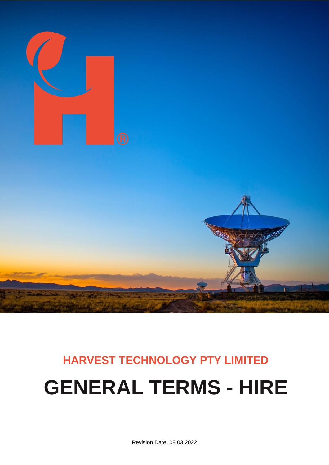

# **HARVEST TECHNOLOGY PTY LIMITED GENERAL TERMS - HIRE**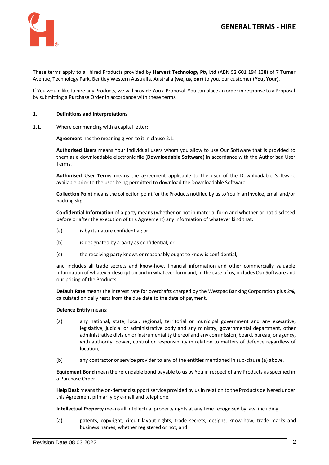

These terms apply to all hired Products provided by **Harvest Technology Pty Ltd** (ABN 52 601 194 138) of 7 Turner Avenue, Technology Park, Bentley Western Australia, Australia (**we, us, our**) to you, our customer (**You, Your**).

If You would like to hire any Products, we will provide You a Proposal. You can place an order in response to a Proposal by submitting a Purchase Order in accordance with these terms.

#### **1. Definitions and Interpretations**

1.1. Where commencing with a capital letter:

**Agreement** has the meaning given to it in claus[e 2.1.](#page-2-0)

**Authorised Users** means Your individual users whom you allow to use Our Software that is provided to them as a downloadable electronic file (**Downloadable Software**) in accordance with the Authorised User Terms.

**Authorised User Terms** means the agreement applicable to the user of the Downloadable Software available prior to the user being permitted to download the Downloadable Software.

**Collection Point** means the collection point for the Products notified by us to You in an invoice, email and/or packing slip.

**Confidential Information** of a party means (whether or not in material form and whether or not disclosed before or after the execution of this Agreement) any information of whatever kind that:

- (a) is by its nature confidential; or
- (b) is designated by a party as confidential; or
- (c) the receiving party knows or reasonably ought to know is confidential,

and includes all trade secrets and know-how, financial information and other commercially valuable information of whatever description and in whatever form and, in the case of us, includes Our Software and our pricing of the Products.

**Default Rate** means the interest rate for overdrafts charged by the Westpac Banking Corporation plus 2%, calculated on daily rests from the due date to the date of payment.

#### **Defence Entity** means:

- (a) any national, state, local, regional, territorial or municipal government and any executive, legislative, judicial or administrative body and any ministry, governmental department, other administrative division or instrumentality thereof and any commission, board, bureau, or agency, with authority, power, control or responsibility in relation to matters of defence regardless of location;
- (b) any contractor or service provider to any of the entities mentioned in sub-clause (a) above.

**Equipment Bond** mean the refundable bond payable to us by You in respect of any Products as specified in a Purchase Order.

**Help Desk** means the on-demand support service provided by us in relation to the Products delivered under this Agreement primarily by e-mail and telephone.

**Intellectual Property** means all intellectual property rights at any time recognised by law, including:

(a) patents, copyright, circuit layout rights, trade secrets, designs, know-how, trade marks and business names, whether registered or not; and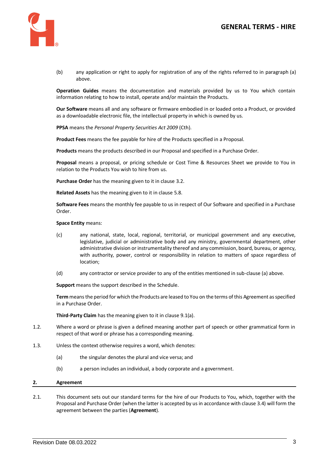

(b) any application or right to apply for registration of any of the rights referred to in paragraph (a) above.

**Operation Guides** means the documentation and materials provided by us to You which contain information relating to how to install, operate and/or maintain the Products.

**Our Software** means all and any software or firmware embodied in or loaded onto a Product, or provided as a downloadable electronic file, the intellectual property in which is owned by us.

**PPSA** means the *Personal Property Securities Act 2009* (Cth).

**Product Fees** means the fee payable for hire of the Products specified in a Proposal.

**Products** means the products described in our Proposal and specified in a Purchase Order.

**Proposal** means a proposal, or pricing schedule or Cost Time & Resources Sheet we provide to You in relation to the Products You wish to hire from us.

**Purchase Order** has the meaning given to it in claus[e 3.2.](#page-3-0)

**Related Assets** has the meaning given to it in clause [5.8.](#page-4-0)

**Software Fees** means the monthly fee payable to us in respect of Our Software and specified in a Purchase Order.

**Space Entity** means:

- (c) any national, state, local, regional, territorial, or municipal government and any executive, legislative, judicial or administrative body and any ministry, governmental department, other administrative division or instrumentality thereof and any commission, board, bureau, or agency, with authority, power, control or responsibility in relation to matters of space regardless of location;
- (d) any contractor or service provider to any of the entities mentioned in sub-clause (a) above.

**Support** means the support described in the Schedule.

**Term** meansthe period for which the Products are leased to You on the terms of this Agreement as specified in a Purchase Order.

**Third-Party Claim** has the meaning given to it in claus[e 9.1\(a\).](#page-7-0)

- 1.2. Where a word or phrase is given a defined meaning another part of speech or other grammatical form in respect of that word or phrase has a corresponding meaning.
- 1.3. Unless the context otherwise requires a word, which denotes:
	- (a) the singular denotes the plural and vice versa; and
	- (b) a person includes an individual, a body corporate and a government.

#### **2. Agreement**

<span id="page-2-0"></span>2.1. This document sets out our standard terms for the hire of our Products to You, which, together with the Proposal and Purchase Order (when the latter is accepted by us in accordance with claus[e 3.4\)](#page-3-1) will form the agreement between the parties (**Agreement**).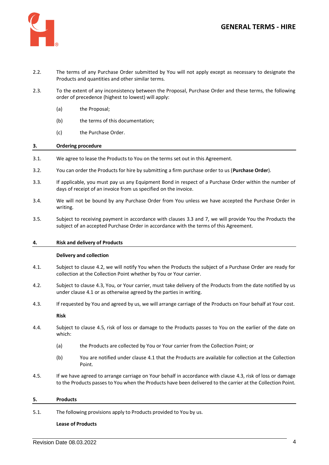

- 2.2. The terms of any Purchase Order submitted by You will not apply except as necessary to designate the Products and quantities and other similar terms.
- 2.3. To the extent of any inconsistency between the Proposal, Purchase Order and these terms, the following order of precedence (highest to lowest) will apply:
	- (a) the Proposal;
	- (b) the terms of this documentation;
	- (c) the Purchase Order.

# **3. Ordering procedure**

- 3.1. We agree to lease the Products to You on the terms set out in this Agreement.
- <span id="page-3-0"></span>3.2. You can order the Products for hire by submitting a firm purchase order to us (**Purchase Order**).
- <span id="page-3-2"></span>3.3. If applicable, you must pay us any Equipment Bond in respect of a Purchase Order within the number of days of receipt of an invoice from us specified on the invoice.
- <span id="page-3-1"></span>3.4. We will not be bound by any Purchase Order from You unless we have accepted the Purchase Order in writing.
- 3.5. Subject to receiving payment in accordance with clauses [3.3](#page-3-2) and [7,](#page-6-0) we will provide You the Products the subject of an accepted Purchase Order in accordance with the terms of this Agreement.

# **4. Risk and delivery of Products**

# **Delivery and collection**

- <span id="page-3-5"></span>4.1. Subject to clause [4.2,](#page-3-3) we will notify You when the Products the subject of a Purchase Order are ready for collection at the Collection Point whether by You or Your carrier.
- <span id="page-3-3"></span>4.2. Subject to claus[e 4.3,](#page-3-4) You, or Your carrier, must take delivery of the Products from the date notified by us under claus[e 4.1](#page-3-5) or as otherwise agreed by the parties in writing.
- <span id="page-3-4"></span>4.3. If requested by You and agreed by us, we will arrange carriage of the Products on Your behalf at Your cost.

# **Risk**

- 4.4. Subject to clause [4.5,](#page-3-6) risk of loss or damage to the Products passes to You on the earlier of the date on which:
	- (a) the Products are collected by You or Your carrier from the Collection Point; or
	- (b) You are notified under clause [4.1](#page-3-5) that the Products are available for collection at the Collection Point.
- <span id="page-3-6"></span>4.5. If we have agreed to arrange carriage on Your behalf in accordance with claus[e 4.3,](#page-3-4) risk of loss or damage to the Products passes to You when the Products have been delivered to the carrier at the Collection Point.

# <span id="page-3-7"></span>**5. Products**

5.1. The following provisions apply to Products provided to You by us.

# **Lease of Products**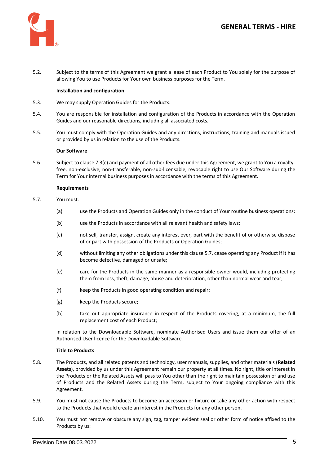

5.2. Subject to the terms of this Agreement we grant a lease of each Product to You solely for the purpose of allowing You to use Products for Your own business purposes for the Term.

# **Installation and configuration**

- 5.3. We may supply Operation Guides for the Products.
- 5.4. You are responsible for installation and configuration of the Products in accordance with the Operation Guides and our reasonable directions, including all associated costs.
- 5.5. You must comply with the Operation Guides and any directions, instructions, training and manuals issued or provided by us in relation to the use of the Products.

# **Our Software**

5.6. Subject to claus[e 7.3\(c\)](#page-6-1) and payment of all other fees due under this Agreement, we grant to You a royaltyfree, non-exclusive, non-transferable, non-sub-licensable, revocable right to use Our Software during the Term for Your internal business purposes in accordance with the terms of this Agreement.

#### **Requirements**

- <span id="page-4-1"></span>5.7. You must:
	- (a) use the Products and Operation Guides only in the conduct of Your routine business operations;
	- (b) use the Products in accordance with all relevant health and safety laws;
	- (c) not sell, transfer, assign, create any interest over, part with the benefit of or otherwise dispose of or part with possession of the Products or Operation Guides;
	- (d) without limiting any other obligations under this claus[e 5.7,](#page-4-1) cease operating any Product if it has become defective, damaged or unsafe;
	- (e) care for the Products in the same manner as a responsible owner would, including protecting them from loss, theft, damage, abuse and deterioration, other than normal wear and tear;
	- (f) keep the Products in good operating condition and repair;
	- (g) keep the Products secure;
	- (h) take out appropriate insurance in respect of the Products covering, at a minimum, the full replacement cost of each Product;

in relation to the Downloadable Software, nominate Authorised Users and issue them our offer of an Authorised User licence for the Downloadable Software.

# **Title to Products**

- <span id="page-4-0"></span>5.8. The Products, and all related patents and technology, user manuals, supplies, and other materials (**Related Assets**), provided by us under this Agreement remain our property at all times. No right, title or interest in the Products or the Related Assets will pass to You other than the right to maintain possession of and use of Products and the Related Assets during the Term, subject to Your ongoing compliance with this Agreement.
- 5.9. You must not cause the Products to become an accession or fixture or take any other action with respect to the Products that would create an interest in the Products for any other person.
- 5.10. You must not remove or obscure any sign, tag, tamper evident seal or other form of notice affixed to the Products by us: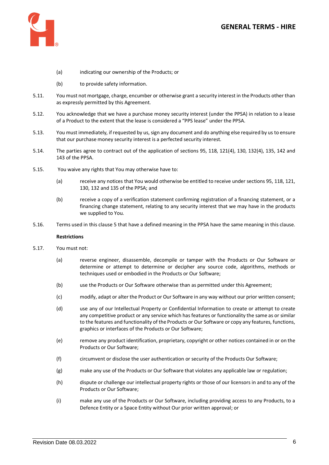

- (a) indicating our ownership of the Products; or
- (b) to provide safety information.
- 5.11. You must not mortgage, charge, encumber or otherwise grant a security interest in the Products other than as expressly permitted by this Agreement.
- 5.12. You acknowledge that we have a purchase money security interest (under the PPSA) in relation to a lease of a Product to the extent that the lease is considered a "PPS lease" under the PPSA.
- 5.13. You must immediately, if requested by us, sign any document and do anything else required by us to ensure that our purchase money security interest is a perfected security interest.
- 5.14. The parties agree to contract out of the application of sections 95, 118, 121(4), 130, 132(4), 135, 142 and 143 of the PPSA.
- 5.15. You waive any rights that You may otherwise have to:
	- (a) receive any notices that You would otherwise be entitled to receive under sections 95, 118, 121, 130, 132 and 135 of the PPSA; and
	- (b) receive a copy of a verification statement confirming registration of a financing statement, or a financing change statement, relating to any security interest that we may have in the products we supplied to You.
- 5.16. Terms used in this clause [5](#page-3-7) that have a defined meaning in the PPSA have the same meaning in this clause.

# **Restrictions**

- 5.17. You must not:
	- (a) reverse engineer, disassemble, decompile or tamper with the Products or Our Software or determine or attempt to determine or decipher any source code, algorithms, methods or techniques used or embodied in the Products or Our Software;
	- (b) use the Products or Our Software otherwise than as permitted under this Agreement;
	- (c) modify, adapt or alter the Product or Our Software in any way without our prior written consent;
	- (d) use any of our Intellectual Property or Confidential Information to create or attempt to create any competitive product or any service which has features or functionality the same as or similar to the features and functionality of the Products or Our Software or copy any features, functions, graphics or interfaces of the Products or Our Software;
	- (e) remove any product identification, proprietary, copyright or other notices contained in or on the Products or Our Software;
	- (f) circumvent or disclose the user authentication or security of the Products Our Software;
	- (g) make any use of the Products or Our Software that violates any applicable law or regulation;
	- (h) dispute or challenge our intellectual property rights or those of our licensors in and to any of the Products or Our Software;
	- (i) make any use of the Products or Our Software, including providing access to any Products, to a Defence Entity or a Space Entity without Our prior written approval; or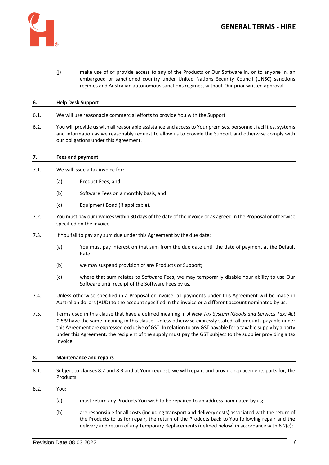

(j) make use of or provide access to any of the Products or Our Software in, or to anyone in, an embargoed or sanctioned country under United Nations Security Council (UNSC) sanctions regimes and Australian autonomous sanctions regimes, without Our prior written approval.

# **6. Help Desk Support**

- 6.1. We will use reasonable commercial efforts to provide You with the Support.
- 6.2. You will provide us with all reasonable assistance and access to Your premises, personnel, facilities, systems and information as we reasonably request to allow us to provide the Support and otherwise comply with our obligations under this Agreement.

# <span id="page-6-0"></span>**7. Fees and payment**

- 7.1. We will issue a tax invoice for:
	- (a) Product Fees; and
	- (b) Software Fees on a monthly basis; and
	- (c) Equipment Bond (if applicable).
- 7.2. You must pay our invoices within 30 days of the date of the invoice or as agreed in the Proposal or otherwise specified on the invoice.
- 7.3. If You fail to pay any sum due under this Agreement by the due date:
	- (a) You must pay interest on that sum from the due date until the date of payment at the Default Rate;
	- (b) we may suspend provision of any Products or Support;
	- (c) where that sum relates to Software Fees, we may temporarily disable Your ability to use Our Software until receipt of the Software Fees by us.
- <span id="page-6-1"></span>7.4. Unless otherwise specified in a Proposal or invoice, all payments under this Agreement will be made in Australian dollars (AUD) to the account specified in the invoice or a different account nominated by us.
- 7.5. Terms used in this clause that have a defined meaning in *A New Tax System (Goods and Services Tax) Act 1999* have the same meaning in this clause. Unless otherwise expressly stated, all amounts payable under this Agreement are expressed exclusive of GST. In relation to any GST payable for a taxable supply by a party under this Agreement, the recipient of the supply must pay the GST subject to the supplier providing a tax invoice.

# **8. Maintenance and repairs**

8.1. Subject to clause[s 8.2](#page-6-2) an[d 8.3](#page-7-1) and at Your request, we will repair, and provide replacements parts for, the Products.

# <span id="page-6-2"></span>8.2. You:

- (a) must return any Products You wish to be repaired to an address nominated by us;
- (b) are responsible for all costs (including transport and delivery costs) associated with the return of the Products to us for repair, the return of the Products back to You following repair and the delivery and return of any Temporary Replacements (defined below) in accordance wit[h 8.2](#page-6-2)[\(c\);](#page-7-2)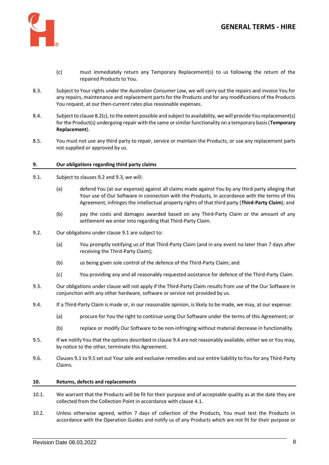

- (c) must immediately return any Temporary Replacement(s) to us following the return of the repaired Products to You.
- <span id="page-7-2"></span><span id="page-7-1"></span>8.3. Subject to Your rights under the *Australian Consumer Law*, we will carry out the repairs and invoice You for any repairs, maintenance and replacement parts for the Products and for any modifications of the Products You request, at our then-current rates plus reasonable expenses.
- 8.4. Subject to claus[e 8.2\(c\),](#page-7-2) to the extent possible and subject to availability, we will provide You replacement(s) for the Product(s) undergoing repair with the same or similar functionality on a temporary basis (**Temporary Replacement**).
- 8.5. You must not use any third party to repair, service or maintain the Products, or use any replacement parts not supplied or approved by us.

# **9. Our obligations regarding third party claims**

- <span id="page-7-5"></span><span id="page-7-0"></span>9.1. Subject to clauses [9.2](#page-7-3) an[d 9.3,](#page-7-4) we will:
	- (a) defend You (at our expense) against all claims made against You by any third party alleging that Your use of Our Software in connection with the Products, in accordance with the terms of this Agreement, infringes the intellectual property rights of that third party (**Third-Party Claim**); and
	- (b) pay the costs and damages awarded based on any Third-Party Claim or the amount of any settlement we enter into regarding that Third-Party Claim.
- <span id="page-7-3"></span>9.2. Our obligations under clause [9.1](#page-7-5) are subject to:
	- (a) You promptly notifying us of that Third-Party Claim (and in any event no later than 7 days after receiving the Third-Party Claim);
	- (b) us being given sole control of the defence of the Third-Party Claim; and
	- (c) You providing any and all reasonably requested assistance for defence of the Third-Party Claim.
- <span id="page-7-4"></span>9.3. Our obligations under clause will not apply if the Third-Party Claim results from use of the Our Software in conjunction with any other hardware, software or service not provided by us.
- <span id="page-7-6"></span>9.4. If a Third-Party Claim is made or, in our reasonable opinion, is likely to be made, we may, at our expense:
	- (a) procure for You the right to continue using Our Software under the terms of this Agreement; or
	- (b) replace or modify Our Software to be non-infringing without material decrease in functionality.
- <span id="page-7-7"></span>9.5. If we notify You that the options described in clause [9.4](#page-7-6) are not reasonably available, either we or You may, by notice to the other, terminate this Agreement.
- 9.6. Clause[s 9.1](#page-7-5) t[o 9.5](#page-7-7) set out Your sole and exclusive remedies and our entire liability to You for any Third-Party Claims.

#### **10. Returns, defects and replacements**

- 10.1. We warrant that the Products will be fit for their purpose and of acceptable quality as at the date they are collected from the Collection Point in accordance with clause [4.1.](#page-3-5)
- 10.2. Unless otherwise agreed, within 7 days of collection of the Products, You must test the Products in accordance with the Operation Guides and notify us of any Products which are not fit for their purpose or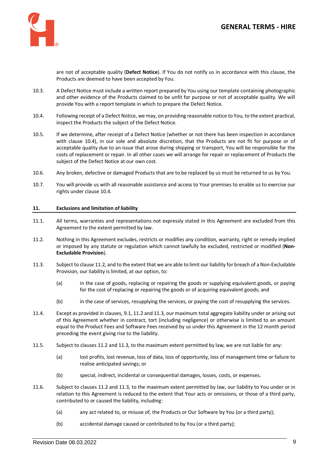

are not of acceptable quality (**Defect Notice**). If You do not notify us in accordance with this clause, the Products are deemed to have been accepted by You.

- 10.3. A Defect Notice must include a written report prepared by You using our template containing photographic and other evidence of the Products claimed to be unfit for purpose or not of acceptable quality. We will provide You with a report template in which to prepare the Defect Notice.
- <span id="page-8-0"></span>10.4. Following receipt of a Defect Notice, we may, on providing reasonable notice to You, to the extent practical, inspect the Products the subject of the Defect Notice.
- 10.5. If we determine, after receipt of a Defect Notice (whether or not there has been inspection in accordance with clause [10.4\)](#page-8-0), in our sole and absolute discretion, that the Products are not fit for purpose or of acceptable quality due to an issue that arose during shipping or transport, You will be responsible for the costs of replacement or repair. In all other cases we will arrange for repair or replacement of Products the subject of the Defect Notice at our own cost.
- 10.6. Any broken, defective or damaged Products that are to be replaced by us must be returned to us by You.
- 10.7. You will provide us with all reasonable assistance and access to Your premises to enable us to exercise our rights under claus[e 10.4.](#page-8-0)

#### **11. Exclusions and limitation of liability**

- 11.1. All terms, warranties and representations not expressly stated in this Agreement are excluded from this Agreement to the extent permitted by law.
- <span id="page-8-1"></span>11.2. Nothing in this Agreement excludes, restricts or modifies any condition, warranty, right or remedy implied or imposed by any statute or regulation which cannot lawfully be excluded, restricted or modified (**Non-Excludable Provision**).
- <span id="page-8-2"></span>11.3. Subject to claus[e 11.2,](#page-8-1) and to the extent that we are able to limit our liability for breach of a Non-Excludable Provision, our liability is limited, at our option, to:
	- (a) in the case of goods, replacing or repairing the goods or supplying equivalent goods, or paying for the cost of replacing or repairing the goods or of acquiring equivalent goods; and
	- (b) in the case of services, resupplying the services, or paying the cost of resupplying the services.
- 11.4. Except as provided in clauses, [9.1,](#page-7-5) [11.2](#page-8-1) an[d 11.3,](#page-8-2) our maximum total aggregate liability under or arising out of this Agreement whether in contract, tort (including negligence) or otherwise is limited to an amount equal to the Product Fees and Software Fees received by us under this Agreement in the 12 month period preceding the event giving rise to the liability.
- 11.5. Subject to clauses [11.2](#page-8-1) an[d 11.3,](#page-8-2) to the maximum extent permitted by law, we are not liable for any:
	- (a) lost profits, lost revenue, loss of data, loss of opportunity, loss of management time or failure to realise anticipated savings; or
	- (b) special, indirect, incidental or consequential damages, losses, costs, or expenses.
- 11.6. Subject to clause[s 11.2](#page-8-1) an[d 11.3,](#page-8-2) to the maximum extent permitted by law, our liability to You under or in relation to this Agreement is reduced to the extent that Your acts or omissions, or those of a third party, contributed to or caused the liability, including:
	- (a) any act related to, or misuse of, the Products or Our Software by You (or a third party);
	- (b) accidental damage caused or contributed to by You (or a third party);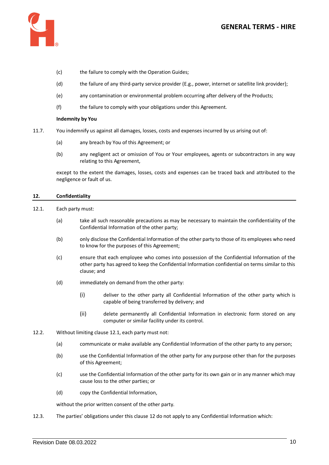

- (c) the failure to comply with the Operation Guides;
- (d) the failure of any third-party service provider (E.g., power, internet or satellite link provider);
- (e) any contamination or environmental problem occurring after delivery of the Products;
- (f) the failure to comply with your obligations under this Agreement.

# **Indemnity by You**

- 11.7. You indemnify us against all damages, losses, costs and expenses incurred by us arising out of:
	- (a) any breach by You of this Agreement; or
	- (b) any negligent act or omission of You or Your employees, agents or subcontractors in any way relating to this Agreement,

except to the extent the damages, losses, costs and expenses can be traced back and attributed to the negligence or fault of us.

#### <span id="page-9-1"></span>**12. Confidentiality**

- <span id="page-9-0"></span>12.1. Each party must:
	- (a) take all such reasonable precautions as may be necessary to maintain the confidentiality of the Confidential Information of the other party;
	- (b) only disclose the Confidential Information of the other party to those of its employees who need to know for the purposes of this Agreement;
	- (c) ensure that each employee who comes into possession of the Confidential Information of the other party has agreed to keep the Confidential Information confidential on terms similar to this clause; and
	- (d) immediately on demand from the other party:
		- (i) deliver to the other party all Confidential Information of the other party which is capable of being transferred by delivery; and
		- (ii) delete permanently all Confidential Information in electronic form stored on any computer or similar facility under its control.
- 12.2. Without limiting claus[e 12.1,](#page-9-0) each party must not:
	- (a) communicate or make available any Confidential Information of the other party to any person;
	- (b) use the Confidential Information of the other party for any purpose other than for the purposes of this Agreement;
	- (c) use the Confidential Information of the other party for its own gain or in any manner which may cause loss to the other parties; or
	- (d) copy the Confidential Information,

without the prior written consent of the other party.

12.3. The parties' obligations under this clause [12](#page-9-1) do not apply to any Confidential Information which: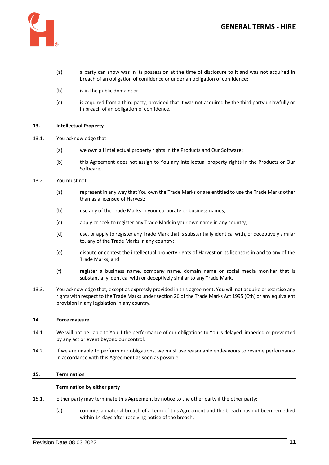

- (a) a party can show was in its possession at the time of disclosure to it and was not acquired in breach of an obligation of confidence or under an obligation of confidence;
- (b) is in the public domain; or
- (c) is acquired from a third party, provided that it was not acquired by the third party unlawfully or in breach of an obligation of confidence.

# **13. Intellectual Property**

13.1. You acknowledge that:

- (a) we own all intellectual property rights in the Products and Our Software;
- (b) this Agreement does not assign to You any intellectual property rights in the Products or Our Software.
- 13.2. You must not:
	- (a) represent in any way that You own the Trade Marks or are entitled to use the Trade Marks other than as a licensee of Harvest;
	- (b) use any of the Trade Marks in your corporate or business names;
	- (c) apply or seek to register any Trade Mark in your own name in any country;
	- (d) use, or apply to register any Trade Mark that is substantially identical with, or deceptively similar to, any of the Trade Marks in any country;
	- (e) dispute or contest the intellectual property rights of Harvest or its licensors in and to any of the Trade Marks; and
	- (f) register a business name, company name, domain name or social media moniker that is substantially identical with or deceptively similar to any Trade Mark.
- 13.3. You acknowledge that, except as expressly provided in this agreement, You will not acquire or exercise any rights with respect to the Trade Marks under section 26 of the Trade Marks Act 1995 (Cth) or any equivalent provision in any legislation in any country.

# **14. Force majeure**

- 14.1. We will not be liable to You if the performance of our obligations to You is delayed, impeded or prevented by any act or event beyond our control.
- 14.2. If we are unable to perform our obligations, we must use reasonable endeavours to resume performance in accordance with this Agreement as soon as possible.

# **15. Termination**

# **Termination by either party**

- 15.1. Either party may terminate this Agreement by notice to the other party if the other party:
	- (a) commits a material breach of a term of this Agreement and the breach has not been remedied within 14 days after receiving notice of the breach;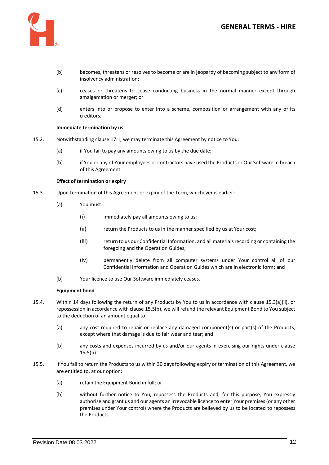

- (b) becomes, threatens or resolves to become or are in jeopardy of becoming subject to any form of insolvency administration;
- (c) ceases or threatens to cease conducting business in the normal manner except through amalgamation or merger; or
- (d) enters into or propose to enter into a scheme, composition or arrangement with any of its creditors.

# **Immediate termination by us**

- 15.2. Notwithstanding clause 17.1, we may terminate this Agreement by notice to You:
	- (a) if You fail to pay any amounts owing to us by the due date;
	- (b) if You or any of Your employees or contractors have used the Products or Our Software in breach of this Agreement.

#### **Effect of termination or expiry**

- <span id="page-11-0"></span>15.3. Upon termination of this Agreement or expiry of the Term, whichever is earlier:
	- (a) You must:
		- (i) immediately pay all amounts owing to us;
		- (ii) return the Products to us in the manner specified by us at Your cost;
		- (iii) return to us our Confidential Information, and all materials recording or containing the foregoing and the Operation Guides;
		- (iv) permanently delete from all computer systems under Your control all of our Confidential Information and Operation Guides which are in electronic form; and
	- (b) Your licence to use Our Software immediately ceases.

#### **Equipment bond**

- 15.4. Within 14 days following the return of any Products by You to us in accordance with clause [15.3\(a\)\(ii\),](#page-11-0) or repossession in accordance with claus[e 15.5\(b\),](#page-11-1) we will refund the relevant Equipment Bond to You subject to the deduction of an amount equal to:
	- (a) any cost required to repair or replace any damaged component(s) or part(s) of the Products, except where that damage is due to fair wear and tear; and
	- (b) any costs and expenses incurred by us and/or our agents in exercising our rights under clause [15.5\(b\).](#page-11-1)
- <span id="page-11-1"></span>15.5. If You fail to return the Products to us within 30 days following expiry or termination of this Agreement, we are entitled to, at our option:
	- (a) retain the Equipment Bond in full; or
	- (b) without further notice to You, repossess the Products and, for this purpose, You expressly authorise and grant us and our agents an irrevocable licence to enter Your premises (or any other premises under Your control) where the Products are believed by us to be located to repossess the Products.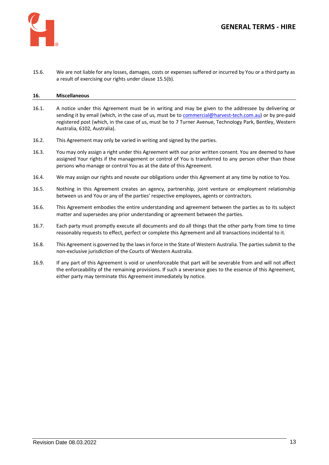

15.6. We are not liable for any losses, damages, costs or expenses suffered or incurred by You or a third party as a result of exercising our rights under claus[e 15.5\(b\).](#page-11-1)

# **16. Miscellaneous**

- 16.1. A notice under this Agreement must be in writing and may be given to the addressee by delivering or sending it by email (which, in the case of us, must be to [commercial@harvest-tech.com.au\)](mailto:commercial@harvest-tech.com.au) or by pre-paid registered post (which, in the case of us, must be to 7 Turner Avenue, Technology Park, Bentley, Western Australia, 6102, Australia).
- 16.2. This Agreement may only be varied in writing and signed by the parties.
- 16.3. You may only assign a right under this Agreement with our prior written consent. You are deemed to have assigned Your rights if the management or control of You is transferred to any person other than those persons who manage or control You as at the date of this Agreement.
- 16.4. We may assign our rights and novate our obligations under this Agreement at any time by notice to You.
- 16.5. Nothing in this Agreement creates an agency, partnership, joint venture or employment relationship between us and You or any of the parties' respective employees, agents or contractors.
- 16.6. This Agreement embodies the entire understanding and agreement between the parties as to its subject matter and supersedes any prior understanding or agreement between the parties.
- 16.7. Each party must promptly execute all documents and do all things that the other party from time to time reasonably requests to effect, perfect or complete this Agreement and all transactions incidental to it.
- 16.8. This Agreement is governed by the laws in force in the State of Western Australia. The parties submit to the non-exclusive jurisdiction of the Courts of Western Australia.
- 16.9. If any part of this Agreement is void or unenforceable that part will be severable from and will not affect the enforceability of the remaining provisions. If such a severance goes to the essence of this Agreement, either party may terminate this Agreement immediately by notice.